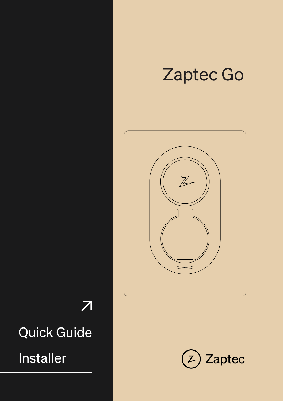## Zaptec Go



 $\overline{\mathcal{L}}$ 

## Quick Guide

Installer

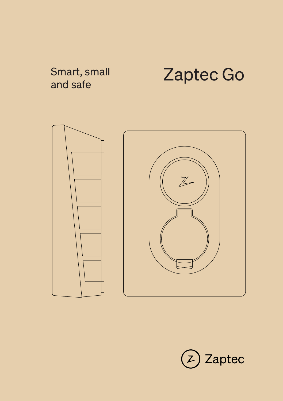

## Zaptec Go



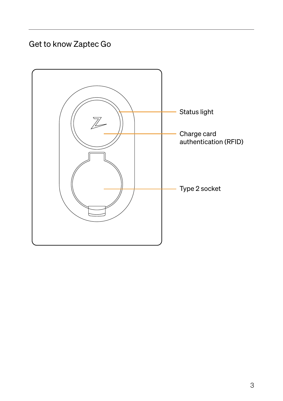#### Get to know Zaptec Go

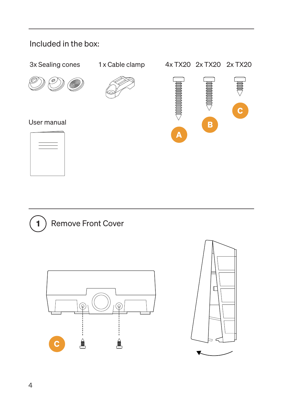#### Included in the box:

3x Sealing cones 1x Cable clamp







User manual

| <u> The Common Section of the Common Section of the Common Section of the Common Section of the Common Section of</u> | _ |  |
|-----------------------------------------------------------------------------------------------------------------------|---|--|
|                                                                                                                       |   |  |
|                                                                                                                       |   |  |
|                                                                                                                       |   |  |
|                                                                                                                       |   |  |
|                                                                                                                       |   |  |
|                                                                                                                       |   |  |
|                                                                                                                       |   |  |
|                                                                                                                       |   |  |
|                                                                                                                       |   |  |
|                                                                                                                       |   |  |
|                                                                                                                       |   |  |
|                                                                                                                       |   |  |
|                                                                                                                       |   |  |
|                                                                                                                       |   |  |
|                                                                                                                       |   |  |
|                                                                                                                       |   |  |
|                                                                                                                       |   |  |
|                                                                                                                       |   |  |
|                                                                                                                       |   |  |
|                                                                                                                       |   |  |
|                                                                                                                       |   |  |
|                                                                                                                       |   |  |
|                                                                                                                       |   |  |
|                                                                                                                       |   |  |
|                                                                                                                       |   |  |
|                                                                                                                       |   |  |
|                                                                                                                       |   |  |
|                                                                                                                       |   |  |
|                                                                                                                       |   |  |
|                                                                                                                       |   |  |
|                                                                                                                       |   |  |
|                                                                                                                       |   |  |



1) Remove Front Cover



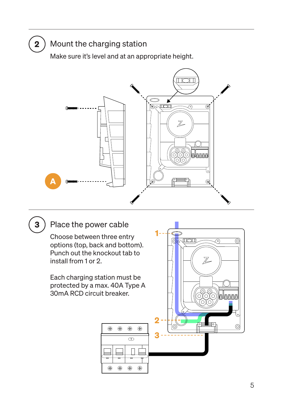### Mount the charging station

Make sure it's level and at an appropriate height.





 $2)$ 

#### Place the power cable

Choose between three entry options (top, back and bottom). Punch out the knockout tab to install from 1 or 2.

Each charging station must be protected by a max. 40A Type A 30mA RCD circuit breaker.

> $\oplus$  $\bigoplus$  $\bigoplus$

> > $\overline{\circ}$

⊕

⊕  $\bigoplus$  $\bigoplus$ ⊕

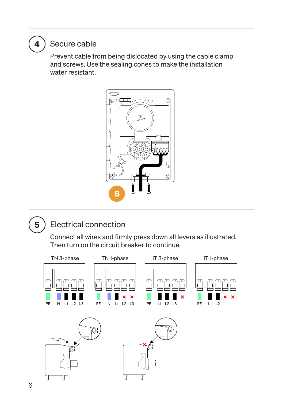

5

#### Secure cable

Prevent cable from being dislocated by using the cable clamp and screws. Use the sealing cones to make the installation water resistant.



### Electrical connection

Connect all wires and firmly press down all levers as illustrated. Then turn on the circuit breaker to continue.

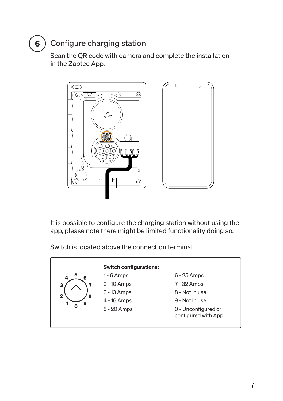### Configure charging station

6

Scan the QR code with camera and complete the installation in the Zaptec App.



It is possible to configure the charging station without using the app, please note there might be limited functionality doing so.

Switch is located above the connection terminal.

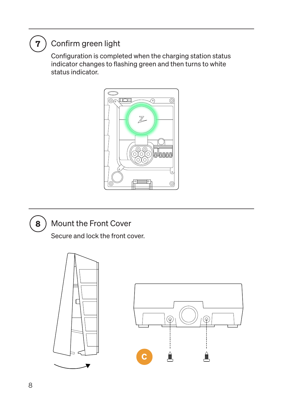# 7

#### Confirm green light

Configuration is completed when the charging station status indicator changes to flashing green and then turns to white status indicator.





#### Mount the Front Cover

Secure and lock the front cover.